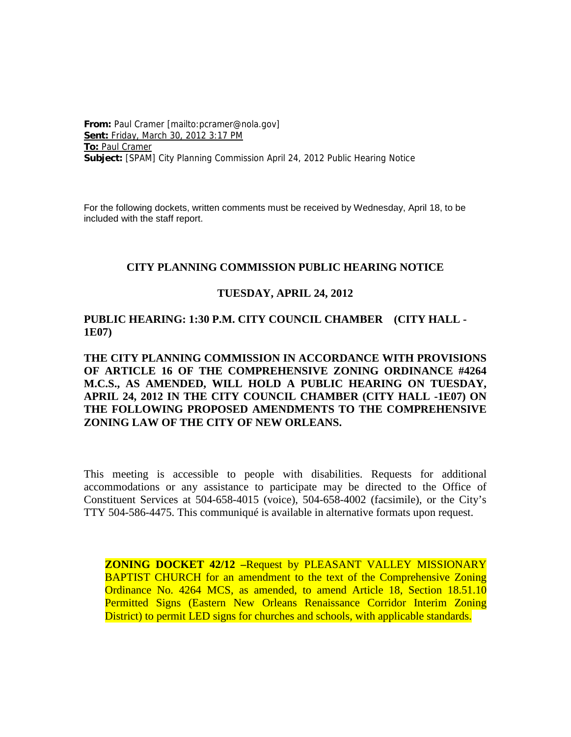**From:** Paul Cramer [mailto:pcramer@nola.gov] **Sent:** Friday, March 30, 2012 3:17 PM **To:** Paul Cramer **Subject:** [SPAM] City Planning Commission April 24, 2012 Public Hearing Notice

For the following dockets, written comments must be received by Wednesday, April 18, to be included with the staff report.

#### **CITY PLANNING COMMISSION PUBLIC HEARING NOTICE**

#### **TUESDAY, APRIL 24, 2012**

#### **PUBLIC HEARING: 1:30 P.M. CITY COUNCIL CHAMBER (CITY HALL - 1E07)**

# **THE CITY PLANNING COMMISSION IN ACCORDANCE WITH PROVISIONS OF ARTICLE 16 OF THE COMPREHENSIVE ZONING ORDINANCE #4264 M.C.S., AS AMENDED, WILL HOLD A PUBLIC HEARING ON TUESDAY, APRIL 24, 2012 IN THE CITY COUNCIL CHAMBER (CITY HALL -1E07) ON THE FOLLOWING PROPOSED AMENDMENTS TO THE COMPREHENSIVE ZONING LAW OF THE CITY OF NEW ORLEANS.**

This meeting is accessible to people with disabilities. Requests for additional accommodations or any assistance to participate may be directed to the Office of Constituent Services at 504-658-4015 (voice), 504-658-4002 (facsimile), or the City's TTY 504-586-4475. This communiqué is available in alternative formats upon request.

**ZONING DOCKET 42/12 –**Request by PLEASANT VALLEY MISSIONARY BAPTIST CHURCH for an amendment to the text of the Comprehensive Zoning Ordinance No. 4264 MCS, as amended, to amend Article 18, Section 18.51.10 Permitted Signs (Eastern New Orleans Renaissance Corridor Interim Zoning District) to permit LED signs for churches and schools, with applicable standards.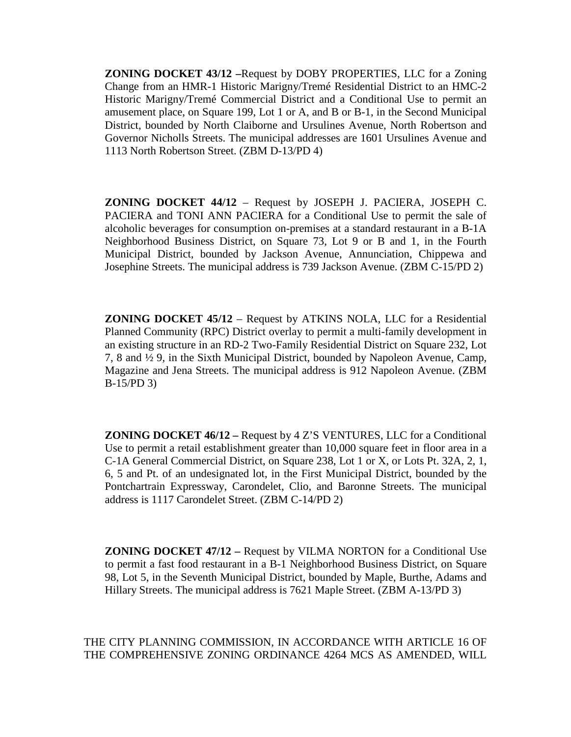**ZONING DOCKET 43/12 –**Request by DOBY PROPERTIES, LLC for a Zoning Change from an HMR-1 Historic Marigny/Tremé Residential District to an HMC-2 Historic Marigny/Tremé Commercial District and a Conditional Use to permit an amusement place, on Square 199, Lot 1 or A, and B or B-1, in the Second Municipal District, bounded by North Claiborne and Ursulines Avenue, North Robertson and Governor Nicholls Streets. The municipal addresses are 1601 Ursulines Avenue and 1113 North Robertson Street. (ZBM D-13/PD 4)

**ZONING DOCKET 44/12** – Request by JOSEPH J. PACIERA, JOSEPH C. PACIERA and TONI ANN PACIERA for a Conditional Use to permit the sale of alcoholic beverages for consumption on-premises at a standard restaurant in a B-1A Neighborhood Business District, on Square 73, Lot 9 or B and 1, in the Fourth Municipal District, bounded by Jackson Avenue, Annunciation, Chippewa and Josephine Streets. The municipal address is 739 Jackson Avenue. (ZBM C-15/PD 2)

**ZONING DOCKET 45/12** – Request by ATKINS NOLA, LLC for a Residential Planned Community (RPC) District overlay to permit a multi-family development in an existing structure in an RD-2 Two-Family Residential District on Square 232, Lot 7, 8 and ½ 9, in the Sixth Municipal District, bounded by Napoleon Avenue, Camp, Magazine and Jena Streets. The municipal address is 912 Napoleon Avenue. (ZBM B-15/PD 3)

**ZONING DOCKET 46/12 –** Request by 4 Z'S VENTURES, LLC for a Conditional Use to permit a retail establishment greater than 10,000 square feet in floor area in a C-1A General Commercial District, on Square 238, Lot 1 or X, or Lots Pt. 32A, 2, 1, 6, 5 and Pt. of an undesignated lot, in the First Municipal District, bounded by the Pontchartrain Expressway, Carondelet, Clio, and Baronne Streets. The municipal address is 1117 Carondelet Street. (ZBM C-14/PD 2)

**ZONING DOCKET 47/12 –** Request by VILMA NORTON for a Conditional Use to permit a fast food restaurant in a B-1 Neighborhood Business District, on Square 98, Lot 5, in the Seventh Municipal District, bounded by Maple, Burthe, Adams and Hillary Streets. The municipal address is 7621 Maple Street. (ZBM A-13/PD 3)

THE CITY PLANNING COMMISSION, IN ACCORDANCE WITH ARTICLE 16 OF THE COMPREHENSIVE ZONING ORDINANCE 4264 MCS AS AMENDED, WILL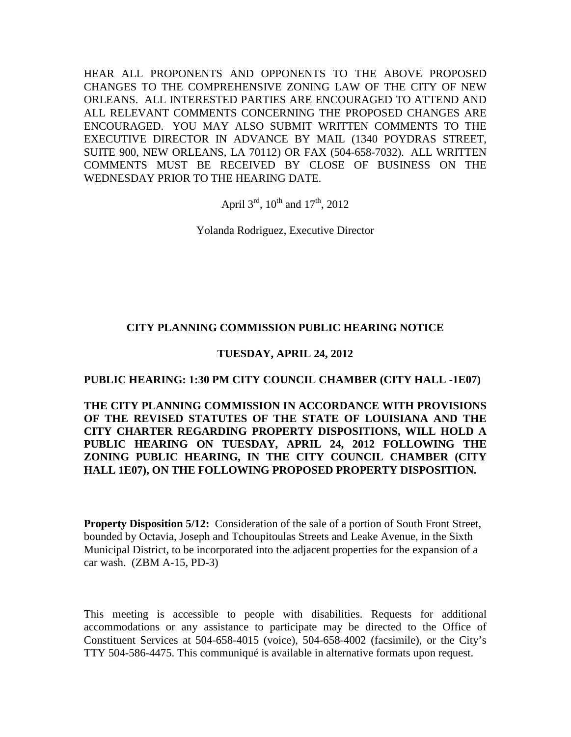HEAR ALL PROPONENTS AND OPPONENTS TO THE ABOVE PROPOSED CHANGES TO THE COMPREHENSIVE ZONING LAW OF THE CITY OF NEW ORLEANS. ALL INTERESTED PARTIES ARE ENCOURAGED TO ATTEND AND ALL RELEVANT COMMENTS CONCERNING THE PROPOSED CHANGES ARE ENCOURAGED. YOU MAY ALSO SUBMIT WRITTEN COMMENTS TO THE EXECUTIVE DIRECTOR IN ADVANCE BY MAIL (1340 POYDRAS STREET, SUITE 900, NEW ORLEANS, LA 70112) OR FAX (504-658-7032). ALL WRITTEN COMMENTS MUST BE RECEIVED BY CLOSE OF BUSINESS ON THE WEDNESDAY PRIOR TO THE HEARING DATE.

April  $3^{\text{rd}}$ ,  $10^{\text{th}}$  and  $17^{\text{th}}$ ,  $2012$ 

Yolanda Rodriguez, Executive Director

# **CITY PLANNING COMMISSION PUBLIC HEARING NOTICE**

# **TUESDAY, APRIL 24, 2012**

### **PUBLIC HEARING: 1:30 PM CITY COUNCIL CHAMBER (CITY HALL -1E07)**

**THE CITY PLANNING COMMISSION IN ACCORDANCE WITH PROVISIONS OF THE REVISED STATUTES OF THE STATE OF LOUISIANA AND THE CITY CHARTER REGARDING PROPERTY DISPOSITIONS, WILL HOLD A PUBLIC HEARING ON TUESDAY, APRIL 24, 2012 FOLLOWING THE ZONING PUBLIC HEARING, IN THE CITY COUNCIL CHAMBER (CITY HALL 1E07), ON THE FOLLOWING PROPOSED PROPERTY DISPOSITION.**

**Property Disposition 5/12:** Consideration of the sale of a portion of South Front Street, bounded by Octavia, Joseph and Tchoupitoulas Streets and Leake Avenue, in the Sixth Municipal District, to be incorporated into the adjacent properties for the expansion of a car wash. (ZBM A-15, PD-3)

This meeting is accessible to people with disabilities. Requests for additional accommodations or any assistance to participate may be directed to the Office of Constituent Services at 504-658-4015 (voice), 504-658-4002 (facsimile), or the City's TTY 504-586-4475. This communiqué is available in alternative formats upon request.